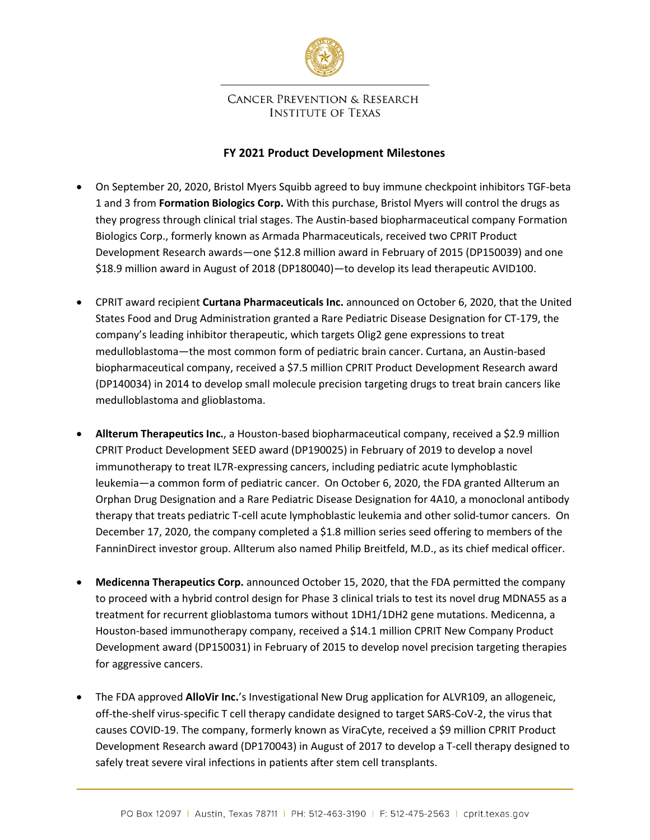

## **CANCER PREVENTION & RESEARCH INSTITUTE OF TEXAS**

# **FY 2021 Product Development Milestones**

- On September 20, 2020, Bristol Myers Squibb agreed to buy immune checkpoint inhibitors TGF-beta 1 and 3 from **Formation Biologics Corp.** With this purchase, Bristol Myers will control the drugs as they progress through clinical trial stages. The Austin-based biopharmaceutical company Formation Biologics Corp., formerly known as Armada Pharmaceuticals, received two CPRIT Product Development Research awards—one \$12.8 million award in February of 2015 (DP150039) and one \$18.9 million award in August of 2018 (DP180040)—to develop its lead therapeutic AVID100.
- CPRIT award recipient **Curtana Pharmaceuticals Inc.** announced on October 6, 2020, that the United States Food and Drug Administration granted a Rare Pediatric Disease Designation for CT-179, the company's leading inhibitor therapeutic, which targets Olig2 gene expressions to treat medulloblastoma—the most common form of pediatric brain cancer. Curtana, an Austin-based biopharmaceutical company, received a \$7.5 million CPRIT Product Development Research award (DP140034) in 2014 to develop small molecule precision targeting drugs to treat brain cancers like medulloblastoma and glioblastoma.
- **Allterum Therapeutics Inc.**, a Houston-based biopharmaceutical company, received a \$2.9 million CPRIT Product Development SEED award (DP190025) in February of 2019 to develop a novel immunotherapy to treat IL7R-expressing cancers, including pediatric acute lymphoblastic leukemia—a common form of pediatric cancer. On October 6, 2020, the FDA granted Allterum an Orphan Drug Designation and a Rare Pediatric Disease Designation for 4A10, a monoclonal antibody therapy that treats pediatric T-cell acute lymphoblastic leukemia and other solid-tumor cancers. On December 17, 2020, the company completed a \$1.8 million series seed offering to members of the FanninDirect investor group. Allterum also named Philip Breitfeld, M.D., as its chief medical officer.
- **Medicenna Therapeutics Corp.** announced October 15, 2020, that the FDA permitted the company to proceed with a hybrid control design for Phase 3 clinical trials to test its novel drug MDNA55 as a treatment for recurrent glioblastoma tumors without 1DH1/1DH2 gene mutations. Medicenna, a Houston-based immunotherapy company, received a \$14.1 million CPRIT New Company Product Development award (DP150031) in February of 2015 to develop novel precision targeting therapies for aggressive cancers.
- The FDA approved **AlloVir Inc.**'s Investigational New Drug application for ALVR109, an allogeneic, off-the-shelf virus-specific T cell therapy candidate designed to target SARS-CoV-2, the virus that causes COVID-19. The company, formerly known as ViraCyte, received a \$9 million CPRIT Product Development Research award (DP170043) in August of 2017 to develop a T-cell therapy designed to safely treat severe viral infections in patients after stem cell transplants.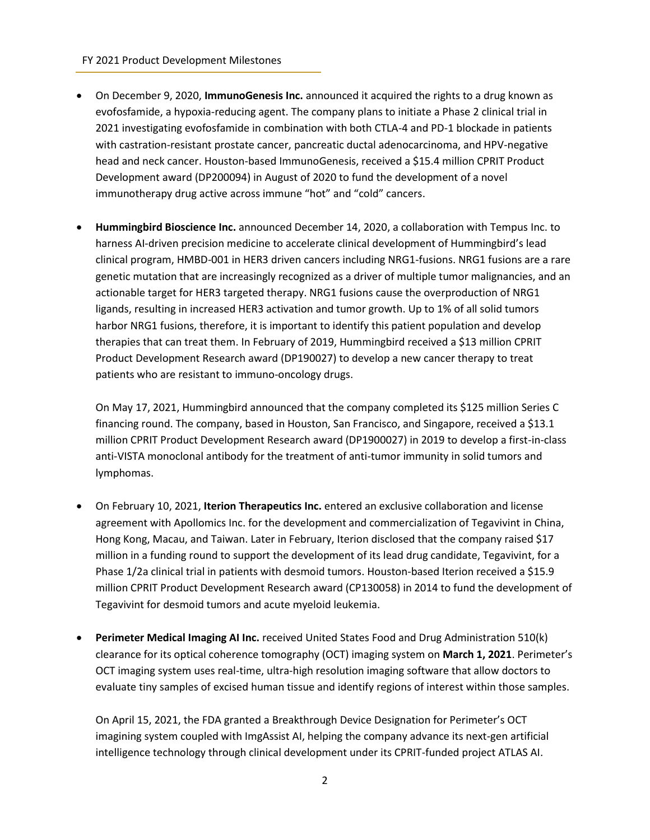### FY 2021 Product Development Milestones

- On December 9, 2020, **ImmunoGenesis Inc.** announced it acquired the rights to a drug known as evofosfamide, a hypoxia-reducing agent. The company plans to initiate a Phase 2 clinical trial in 2021 investigating evofosfamide in combination with both CTLA-4 and PD-1 blockade in patients with castration-resistant prostate cancer, pancreatic ductal adenocarcinoma, and HPV-negative head and neck cancer. Houston-based ImmunoGenesis, received a \$15.4 million CPRIT Product Development award (DP200094) in August of 2020 to fund the development of a novel immunotherapy drug active across immune "hot" and "cold" cancers.
- **Hummingbird Bioscience Inc.** announced December 14, 2020, a collaboration with Tempus Inc. to harness AI-driven precision medicine to accelerate clinical development of Hummingbird's lead clinical program, HMBD-001 in HER3 driven cancers including NRG1-fusions. NRG1 fusions are a rare genetic mutation that are increasingly recognized as a driver of multiple tumor malignancies, and an actionable target for HER3 targeted therapy. NRG1 fusions cause the overproduction of NRG1 ligands, resulting in increased HER3 activation and tumor growth. Up to 1% of all solid tumors harbor NRG1 fusions, therefore, it is important to identify this patient population and develop therapies that can treat them. In February of 2019, Hummingbird received a \$13 million CPRIT Product Development Research award (DP190027) to develop a new cancer therapy to treat patients who are resistant to immuno-oncology drugs.

On May 17, 2021, Hummingbird announced that the company completed its \$125 million Series C financing round. The company, based in Houston, San Francisco, and Singapore, received a \$13.1 million CPRIT Product Development Research award (DP1900027) in 2019 to develop a first-in-class anti-VISTA monoclonal antibody for the treatment of anti-tumor immunity in solid tumors and lymphomas.

- On February 10, 2021, **Iterion Therapeutics Inc.** entered an exclusive collaboration and license agreement with Apollomics Inc. for the development and commercialization of Tegavivint in China, Hong Kong, Macau, and Taiwan. Later in February, Iterion disclosed that the company raised \$17 million in a funding round to support the development of its lead drug candidate, Tegavivint, for a Phase 1/2a clinical trial in patients with desmoid tumors. Houston-based Iterion received a \$15.9 million CPRIT Product Development Research award (CP130058) in 2014 to fund the development of Tegavivint for desmoid tumors and acute myeloid leukemia.
- **Perimeter Medical Imaging AI Inc.** received United States Food and Drug Administration 510(k) clearance for its optical coherence tomography (OCT) imaging system on **March 1, 2021**. Perimeter's OCT imaging system uses real-time, ultra-high resolution imaging software that allow doctors to evaluate tiny samples of excised human tissue and identify regions of interest within those samples.

On April 15, 2021, the FDA granted a Breakthrough Device Designation for Perimeter's OCT imagining system coupled with ImgAssist AI, helping the company advance its next-gen artificial intelligence technology through clinical development under its CPRIT-funded project ATLAS AI.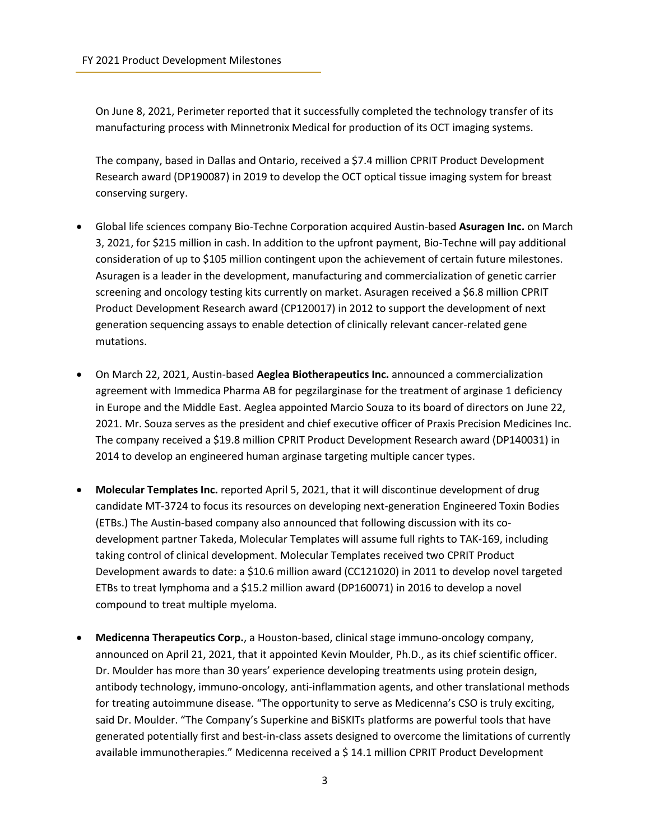On June 8, 2021, Perimeter reported that it successfully completed the technology transfer of its manufacturing process with Minnetronix Medical for production of its OCT imaging systems.

The company, based in Dallas and Ontario, received a \$7.4 million CPRIT Product Development Research award (DP190087) in 2019 to develop the OCT optical tissue imaging system for breast conserving surgery.

- Global life sciences company Bio-Techne Corporation acquired Austin-based **Asuragen Inc.** on March 3, 2021, for \$215 million in cash. In addition to the upfront payment, Bio-Techne will pay additional consideration of up to \$105 million contingent upon the achievement of certain future milestones. Asuragen is a leader in the development, manufacturing and commercialization of genetic carrier screening and oncology testing kits currently on market. Asuragen received a \$6.8 million CPRIT Product Development Research award (CP120017) in 2012 to support the development of next generation sequencing assays to enable detection of clinically relevant cancer-related gene mutations.
- On March 22, 2021, Austin-based **Aeglea Biotherapeutics Inc.** announced a commercialization agreement with Immedica Pharma AB for pegzilarginase for the treatment of arginase 1 deficiency in Europe and the Middle East. Aeglea appointed Marcio Souza to its board of directors on June 22, 2021. Mr. Souza serves as the president and chief executive officer of Praxis Precision Medicines Inc. The company received a \$19.8 million CPRIT Product Development Research award (DP140031) in 2014 to develop an engineered human arginase targeting multiple cancer types.
- **Molecular Templates Inc.** reported April 5, 2021, that it will discontinue development of drug candidate MT-3724 to focus its resources on developing next-generation Engineered Toxin Bodies (ETBs.) The Austin-based company also announced that following discussion with its codevelopment partner Takeda, Molecular Templates will assume full rights to TAK-169, including taking control of clinical development. Molecular Templates received two CPRIT Product Development awards to date: a \$10.6 million award (CC121020) in 2011 to develop novel targeted ETBs to treat lymphoma and a \$15.2 million award (DP160071) in 2016 to develop a novel compound to treat multiple myeloma.
- **Medicenna Therapeutics Corp.**, a Houston-based, clinical stage immuno-oncology company, announced on April 21, 2021, that it appointed Kevin Moulder, Ph.D., as its chief scientific officer. Dr. Moulder has more than 30 years' experience developing treatments using protein design, antibody technology, immuno-oncology, anti-inflammation agents, and other translational methods for treating autoimmune disease. "The opportunity to serve as Medicenna's CSO is truly exciting, said Dr. Moulder. "The Company's Superkine and BiSKITs platforms are powerful tools that have generated potentially first and best-in-class assets designed to overcome the limitations of currently available immunotherapies." Medicenna received a \$ 14.1 million CPRIT Product Development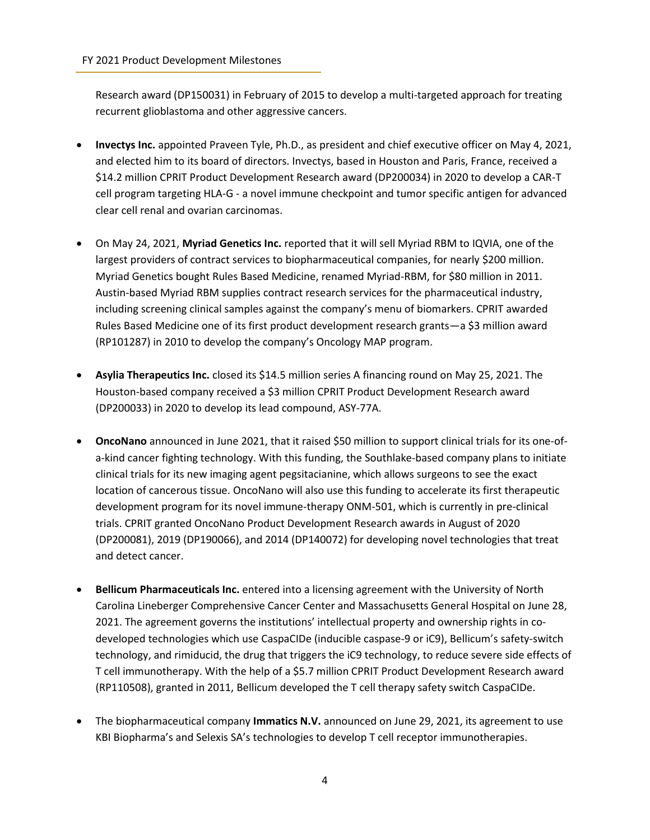## FY 2021 Product Development Milestones

Research award (DP150031) in February of 2015 to develop a multi-targeted approach for treating recurrent glioblastoma and other aggressive cancers.

- **Invectys Inc.** appointed Praveen Tyle, Ph.D., as president and chief executive officer on May 4, 2021, and elected him to its board of directors. Invectys, based in Houston and Paris, France, received a \$14.2 million CPRIT Product Development Research award (DP200034) in 2020 to develop a CAR-T cell program targeting HLA-G - a novel immune checkpoint and tumor specific antigen for advanced clear cell renal and ovarian carcinomas.
- On May 24, 2021, **Myriad Genetics Inc.** reported that it will sell Myriad RBM to IQVIA, one of the largest providers of contract services to biopharmaceutical companies, for nearly \$200 million. Myriad Genetics bought Rules Based Medicine, renamed Myriad-RBM, for \$80 million in 2011. Austin-based Myriad RBM supplies contract research services for the pharmaceutical industry, including screening clinical samples against the company's menu of biomarkers. CPRIT awarded Rules Based Medicine one of its first product development research grants—a \$3 million award (RP101287) in 2010 to develop the company's Oncology MAP program.
- **Asylia Therapeutics Inc.** closed its \$14.5 million series A financing round on May 25, 2021. The Houston-based company received a \$3 million CPRIT Product Development Research award (DP200033) in 2020 to develop its lead compound, ASY-77A.
- **OncoNano** announced in June 2021, that it raised \$50 million to support clinical trials for its one-ofa-kind cancer fighting technology. With this funding, the Southlake-based company plans to initiate clinical trials for its new imaging agent pegsitacianine, which allows surgeons to see the exact location of cancerous tissue. OncoNano will also use this funding to accelerate its first therapeutic development program for its novel immune-therapy ONM-501, which is currently in pre-clinical trials. CPRIT granted OncoNano Product Development Research awards in August of 2020 (DP200081), 2019 (DP190066), and 2014 (DP140072) for developing novel technologies that treat and detect cancer.
- **Bellicum Pharmaceuticals Inc.** entered into a licensing agreement with the University of North Carolina Lineberger Comprehensive Cancer Center and Massachusetts General Hospital on June 28, 2021. The agreement governs the institutions' intellectual property and ownership rights in codeveloped technologies which use CaspaCIDe (inducible caspase-9 or iC9), Bellicum's safety-switch technology, and rimiducid, the drug that triggers the iC9 technology, to reduce severe side effects of T cell immunotherapy. With the help of a \$5.7 million CPRIT Product Development Research award (RP110508), granted in 2011, Bellicum developed the T cell therapy safety switch CaspaCIDe.
- The biopharmaceutical company **Immatics N.V.** announced on June 29, 2021, its agreement to use KBI Biopharma's and Selexis SA's technologies to develop T cell receptor immunotherapies.